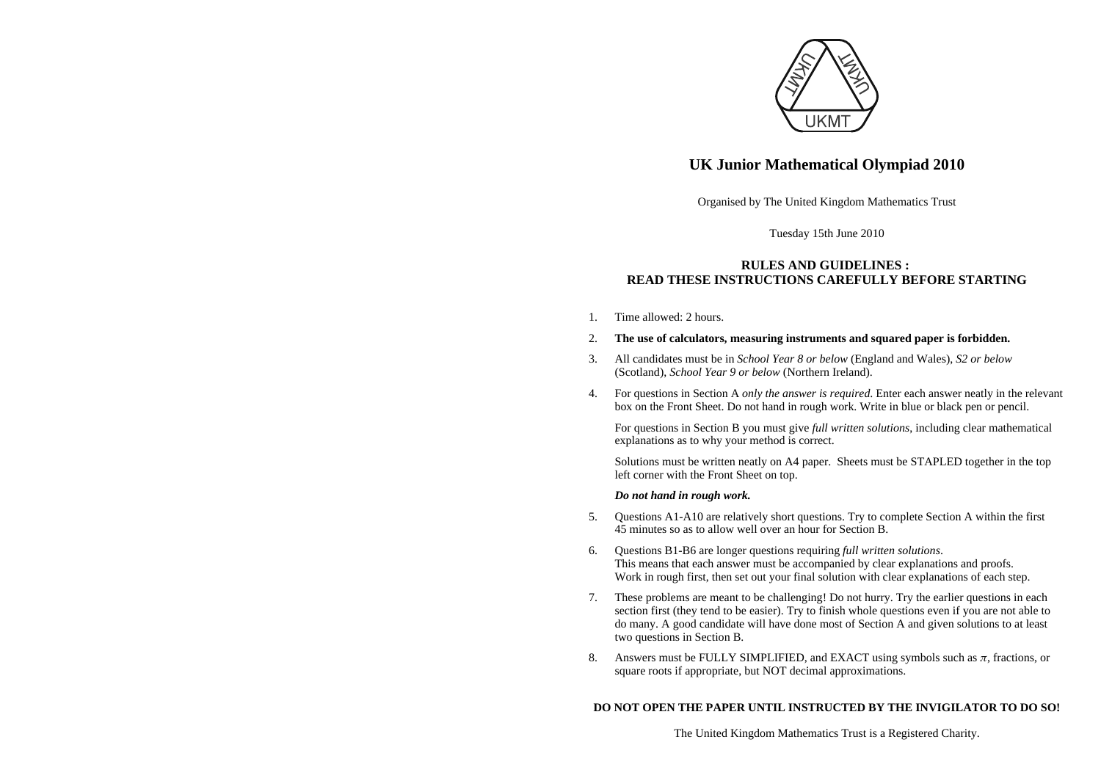

# **UK Junior Mathematical Olympiad 2010**

Organised by The United Kingdom Mathematics Trust

Tuesday 15th June 2010

## **RULES AND GUIDELINES : READ THESE INSTRUCTIONS CAREFULLY BEFORE STARTING**

1. Time allowed: 2 hours.

### 2. **The use of calculators, measuring instruments and squared paper is forbidden.**

- 3. All candidates must be in *School Year 8 or below* (England and Wales), *S2 or below* (Scotland), *School Year 9 or below* (Northern Ireland).
- 4. For questions in Section A *only the answer is required*. Enter each answer neatly in the relevant box on the Front Sheet. Do not hand in rough work. Write in blue or black pen or pencil.

For questions in Section B you must give *full written solutions*, including clear mathematical explanations as to why your method is correct.

Solutions must be written neatly on A4 paper. Sheets must be STAPLED together in the top left corner with the Front Sheet on top.

### *Do not hand in rough work.*

- 5. Questions A1-A10 are relatively short questions. Try to complete Section A within the first 45 minutes so as to allow well over an hour for Section B.
- 6. Questions B1-B6 are longer questions requiring *full written solutions*. This means that each answer must be accompanied by clear explanations and proofs. Work in rough first, then set out your final solution with clear explanations of each step.
- 7. These problems are meant to be challenging! Do not hurry. Try the earlier questions in each section first (they tend to be easier). Try to finish whole questions even if you are not able to do many. A good candidate will have done most of Section A and given solutions to at least two questions in Section B.
- 8. Answers must be FULLY SIMPLIFIED, and EXACT using symbols such as  $\pi$ , fractions, or square roots if appropriate, but NOT decimal approximations.

## **DO NOT OPEN THE PAPER UNTIL INSTRUCTED BY THE INVIGILATOR TO DO SO!**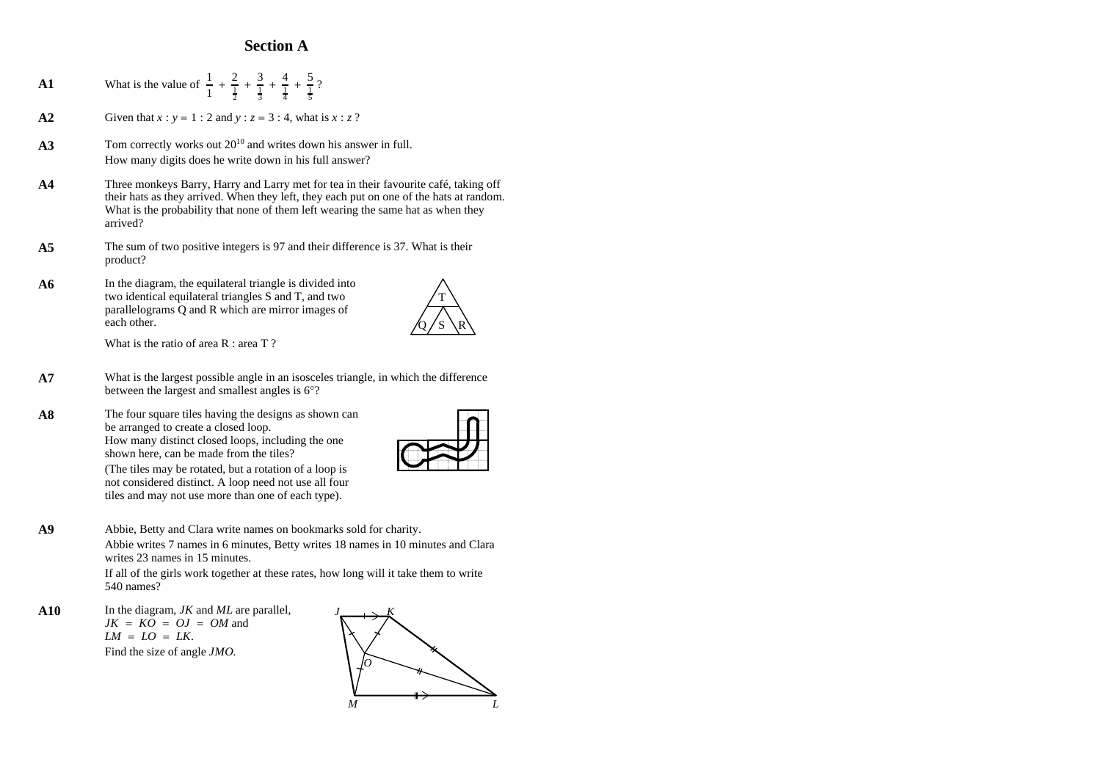# **Section A**

- **A1** What is the value of  $\frac{1}{1} + \frac{2}{\frac{1}{2}} + \frac{3}{\frac{1}{2}} + \frac{4}{\frac{1}{2}} + \frac{5}{\frac{2}{3}}$ ?  $\frac{1}{2}$  $+$   $\frac{3}{7}$ 1 3  $+\frac{4}{7}$ 1 4  $+$   $\frac{5}{7}$ 1 5 **A2** Given that  $x : y = 1 : 2$  and  $y : z = 3 : 4$ , what is  $x : z$  ? A3 Tom correctly works out  $20^{10}$  and writes down his answer in full. How many digits does he write down in his full answer? **A4** Three monkeys Barry, Harry and Larry met for tea in their favourite café, taking off their hats as they arrived. When they left, they each put on one of the hats at random. What is the probability that none of them left wearing the same hat as when they arrived? **A5** The sum of two positive integers is 97 and their difference is 37. What is their product? A6 In the diagram, the equilateral triangle is divided into two identical equilateral triangles S and T, and two parallelograms Q and R which are mirror images of each other. What is the ratio of area R : area T ? between the largest and smallest angles is 6°? **A8** The four square tiles having the designs as shown can be arranged to create a closed loop. How many distinct closed loops, including the one shown here, can be made from the tiles? (The tiles may be rotated, but a rotation of a loop is not considered distinct. A loop need not use all four tiles and may not use more than one of each type). **A9** Abbie, Betty and Clara write names on bookmarks sold for charity. writes 23 names in 15 minutes. 540 names?
- **A10** In the diagram, *JK* and *ML* are parallel,  $JK = KO = OJ = OM$  and . *LM* <sup>=</sup> *LO* <sup>=</sup> *LK* Find the size of angle *JMO*.





T

 $Q / S \setminus R$ 

- **A7** What is the largest possible angle in an isosceles triangle, in which the difference
- 

Abbie writes 7 names in 6 minutes, Betty writes 18 names in 10 minutes and Clara

If all of the girls work together at these rates, how long will it take them to write

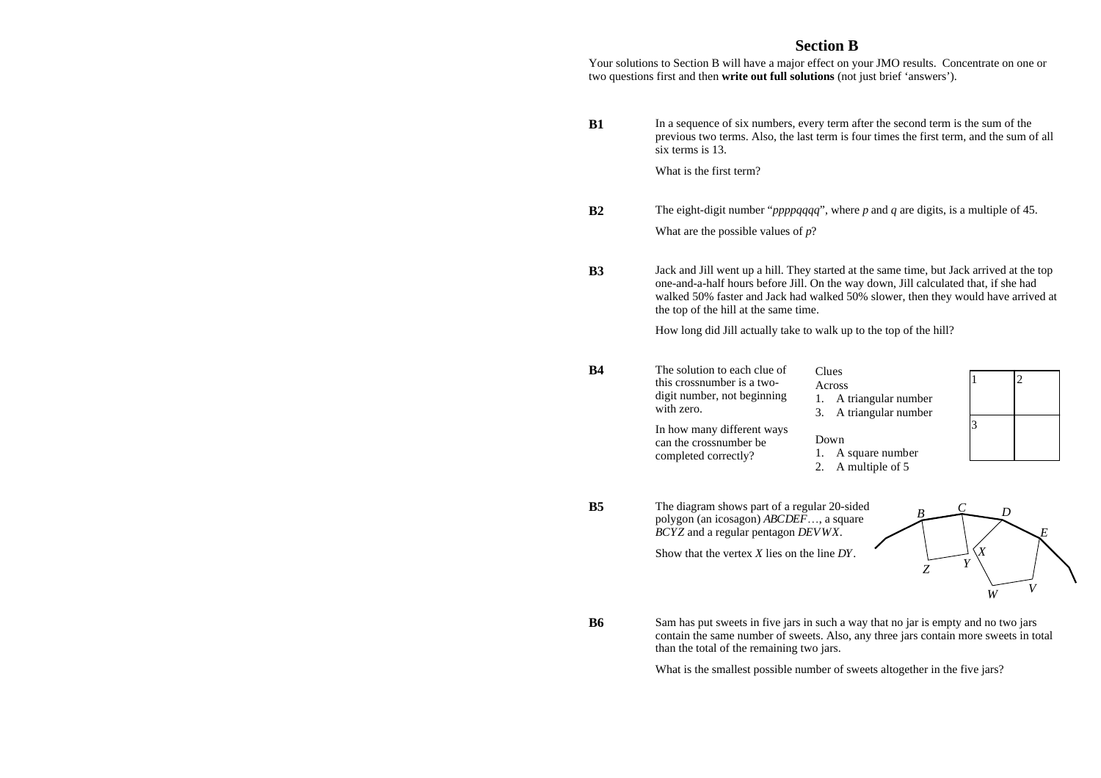# **Section B**

Your solutions to Section B will have a major effect on your JMO results. Concentrate on one or two questions first and then **write out full solutions** (not just brief 'answers').

**B1** In a sequence of six numbers, every term after the second term is the sum of the previous two terms. Also, the last term is four times the first term, and the sum of all six terms is 13.

What is the first term?

**B2** The eight-digit number "*ppppqqqq*", where *p* and *q* are digits, is a multiple of 45.

What are the possible values of *p*?

**B3** Jack and Jill went up a hill. They started at the same time, but Jack arrived at the top one-and-a-half hours before Jill. On the way down, Jill calculated that, if she had walked 50% faster and Jack had walked 50% slower, then they would have arrived at the top of the hill at the same time.

How long did Jill actually take to walk up to the top of the hill?

- **B4** The solution to each clue of this crossnumber is a twodigit number, not beginning with zero.
- Clues Across 1. A triangular number 3. A triangular number
- In how many different ways can the crossnumber be completed correctly? Down 1. A square number
	- 2. A multiple of 5
- **B5** The diagram shows part of a regular 20-sided polygon (an icosagon) *ABCDEF*..., a square *BCYZ* and a regular pentagon *DEVWX*.

Show that the vertex *X* lies on the line *DY*.



1 2

3

**B6** Sam has put sweets in five jars in such a way that no jar is empty and no two jars contain the same number of sweets. Also, any three jars contain more sweets in total than the total of the remaining two jars.

What is the smallest possible number of sweets altogether in the five jars?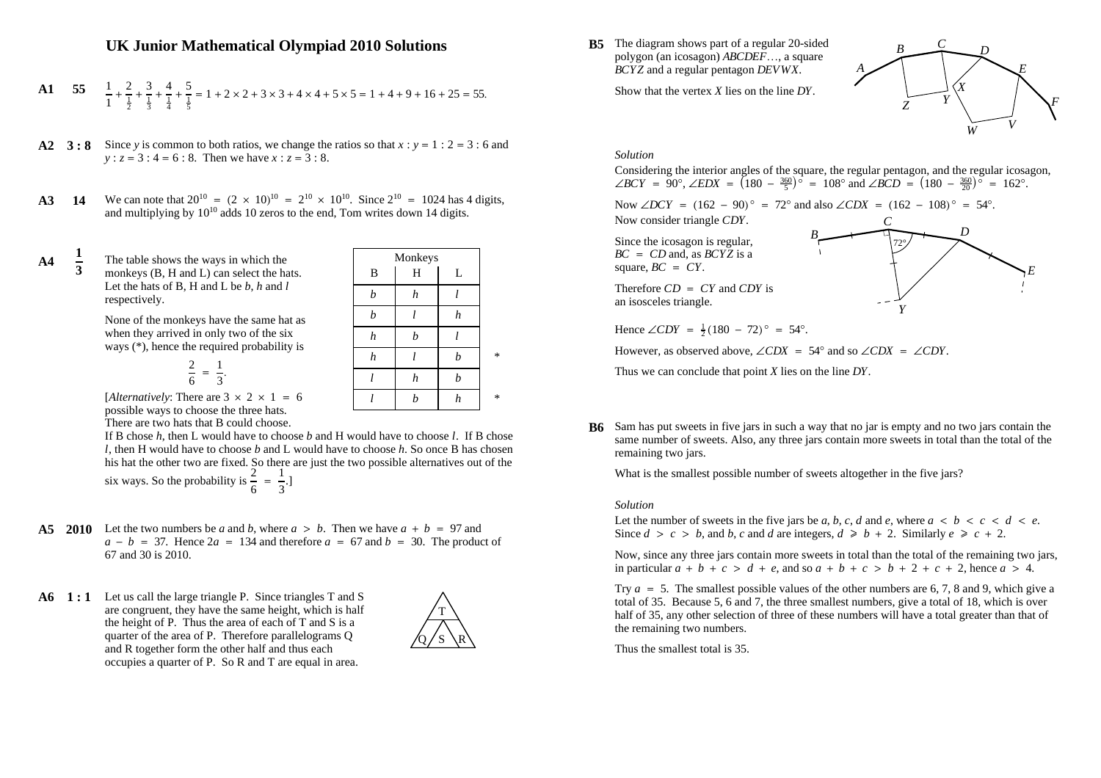# **UK Junior Mathematical Olympiad 2010 Solutions**

**A1** 55 
$$
\frac{1}{1} + \frac{2}{\frac{1}{2}} + \frac{3}{\frac{1}{3}} + \frac{4}{\frac{1}{4}} + \frac{5}{\frac{1}{5}} = 1 + 2 \times 2 + 3 \times 3 + 4 \times 4 + 5 \times 5 = 1 + 4 + 9 + 16 + 25 = 55.
$$

- **A2 3**: **8** Since y is common to both ratios, we change the ratios so that  $x : y = 1 : 2 = 3 : 6$  and  $y: z = 3: 4 = 6: 8$ . Then we have  $x: z = 3: 8$ .
- **A3 14** We can note that  $20^{10} = (2 \times 10)^{10} = 2^{10} \times 10^{10}$ . Since  $2^{10} = 1024$  has 4 digits, and multiplying by  $10^{10}$  adds 10 zeros to the end, Tom writes down 14 digits.

**A4 <sup>1</sup> <sup>3</sup>** The table shows the ways in which the monkeys (B, H and L) can select the hats. Let the hats of B, H and L be  $b$ ,  $h$  and  $l$ respectively.

> None of the monkeys have the same hat as when they arrived in only two of the six ways (\*), hence the required probability is

$$
\frac{2}{6} = \frac{1}{3}.
$$

| Monkeys          |                  |                  |   |  |
|------------------|------------------|------------------|---|--|
| B                | H                | L                |   |  |
| b                | $\boldsymbol{h}$ | 1                |   |  |
| $\boldsymbol{b}$ |                  | $\boldsymbol{h}$ |   |  |
| $\boldsymbol{h}$ | $\boldsymbol{b}$ |                  |   |  |
| $\boldsymbol{h}$ | l                | $\boldsymbol{b}$ | * |  |
| l                | $\boldsymbol{h}$ | $\boldsymbol{b}$ |   |  |
|                  | b                | $\boldsymbol{h}$ | ∗ |  |

[*Alternatively*: There are  $3 \times 2 \times 1 = 6$ possible ways to choose the three hats. There are two hats that B could choose.

If B chose *h*, then L would have to choose *b* and H would have to choose *l*. If B chose *l*, then H would have to choose *b* and L would have to choose *h*. So once B has chosen his hat the other two are fixed. So there are just the two possible alternatives out of the six ways. So the probability is  $\frac{2}{5} = \frac{1}{2}$ .

 $\frac{2}{6} = \frac{1}{3}$ 3

- **A5** 2010 Let the two numbers be a and b, where  $a > b$ . Then we have  $a + b = 97$  and  $a - b = 37$ . Hence  $2a = 134$  and therefore  $a = 67$  and  $b = 30$ . The product of 67 and 30 is 2010.
- **A6 1 : 1** Let us call the large triangle P. Since triangles T and S are congruent, they have the same height, which is half the height of P. Thus the area of each of T and S is a quarter of the area of P. Therefore parallelograms Q and R together form the other half and thus each occupies a quarter of P. So R and T are equal in area.



**B5** The diagram shows part of a regular 20-sided polygon (an icosagon) *ABCDEF*..., a square *BCYZ* and a regular pentagon *DEVWX*.

Show that the vertex *X* lies on the line *DY*.



*D*

*E*

### *Solution*

Considering the interior angles of the square, the regular pentagon, and the regular icosagon, ∠*BCY* = 90°, ∠*EDX* =  $(180 - \frac{360}{5})^{\circ}$  = 108° and ∠*BCD* =  $(180 - \frac{360}{20})^{\circ}$  = 162°.

*C*

*Y*

72°

Now ∠*DCY* =  $(162 - 90)$ <sup>°</sup> =  $72$ <sup>°</sup> and also ∠*CDX* =  $(162 - 108)$ <sup>°</sup> = 54<sup>°</sup>.

*B*

Now consider triangle *CDY*.

Since the icosagon is regular, *BC* = *CD* and, as *BCYZ* is a  $square, BC = CY$ .

Therefore  $CD = CY$  and  $CDY$  is an isosceles triangle.

Hence  $\angle CDY = \frac{1}{2}(180 - 72)$ ° = 54°.

However, as observed above,  $\angle CDX = 54^\circ$  and so  $\angle CDX = \angle CDY$ .

Thus we can conclude that point *X* lies on the line *DY*.

**B6** Sam has put sweets in five jars in such a way that no jar is empty and no two jars contain the same number of sweets. Also, any three jars contain more sweets in total than the total of the remaining two jars.

What is the smallest possible number of sweets altogether in the five jars?

### *Solution*

Let the number of sweets in the five jars be a, b, c, d and e, where  $a \leq b \leq c \leq d \leq e$ . Since  $d > c > b$ , and  $b$ ,  $c$  and  $d$  are integers,  $d \geq b + 2$ . Similarly  $e \geq c + 2$ .

Now, since any three jars contain more sweets in total than the total of the remaining two jars, in particular  $a + b + c > d + e$ , and so  $a + b + c > b + 2 + c + 2$ , hence  $a > 4$ .

Try  $a = 5$ . The smallest possible values of the other numbers are 6, 7, 8 and 9, which give a total of 35. Because 5, 6 and 7, the three smallest numbers, give a total of 18, which is over half of 35, any other selection of three of these numbers will have a total greater than that of the remaining two numbers.

Thus the smallest total is 35.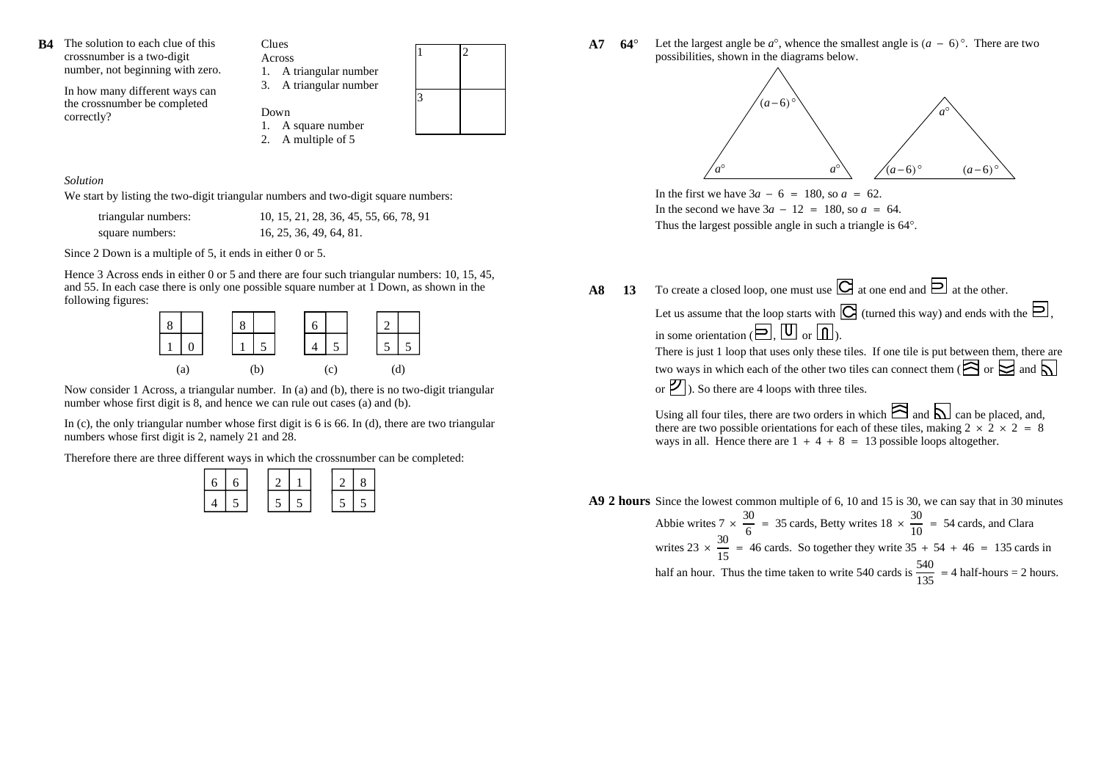

In how many different ways can the crossnumber be completed correctly?



*Solution*

We start by listing the two-digit triangular numbers and two-digit square numbers:

| triangular numbers: | 10, 15, 21, 28, 36, 45, 55, 66, 78, 91 |
|---------------------|----------------------------------------|
| square numbers:     | 16, 25, 36, 49, 64, 81.                |

Since 2 Down is a multiple of 5, it ends in either 0 or 5.

Hence 3 Across ends in either 0 or 5 and there are four such triangular numbers: 10, 15, 45, and 55. In each case there is only one possible square number at 1 Down, as shown in the following figures:



Now consider 1 Across, a triangular number. In (a) and (b), there is no two-digit triangular number whose first digit is 8, and hence we can rule out cases (a) and (b).

In (c), the only triangular number whose first digit is  $6$  is  $66$ . In (d), there are two triangular numbers whose first digit is 2, namely 21 and 28.

Therefore there are three different ways in which the crossnumber can be completed:

| 6 | 6 |  |  |  |
|---|---|--|--|--|
|   |   |  |  |  |

**A7 64**° Let the largest angle be  $a^{\circ}$ , whence the smallest angle is  $(a - 6)^{\circ}$ . There are two possibilities, shown in the diagrams below.



In the first we have  $3a - 6 = 180$ , so  $a = 62$ . In the second we have  $3a - 12 = 180$ , so  $a = 64$ . Thus the largest possible angle in such a triangle is 64°.

**A8 13** To create a closed loop, one must use  $\Box$  at one end and  $\Box$  at the other.

Let us assume that the loop starts with  $\mathbb{C}$  (turned this way) and ends with the  $\mathbb{D},$ in some orientation ( $\Box$ .  $\Box$ ). There is just 1 loop that uses only these tiles. If one tile is put between them, there are two ways in which each of the other two tiles can connect them ( $\approx \frac{1}{\sqrt{2}}$  or  $\approx$  and  $\sqrt{2}$ ) or  $|\mathcal{V}|$ ). So there are 4 loops with three tiles.

Using all four tiles, there are two orders in which  $\approx$  and  $\approx$  can be placed, and, there are two possible orientations for each of these tiles, making  $2 \times 2 \times 2 = 8$ ways in all. Hence there are  $1 + 4 + 8 = 13$  possible loops altogether.

**A9 2 hours** Since the lowest common multiple of 6, 10 and 15 is 30, we can say that in 30 minutes

Abbie writes  $7 \times \frac{1}{2} = 35$  cards, Betty writes  $18 \times \frac{1}{10} = 54$  cards, and Clara writes 23  $\times$   $\frac{1}{12}$  = 46 cards. So together they write 35 + 54 + 46 = 135 cards in half an hour. Thus the time taken to write 540 cards is  $\frac{540}{1}$  = 4 half-hours = 2 hours.  $7 \times \frac{30}{6}$  = 35 cards, Betty writes  $18 \times \frac{30}{10}$  = 54  $23 \times \frac{30}{15}$  = 46 cards. So together they write  $35 + 54 + 46 = 135$  $\frac{135}{ }$  =